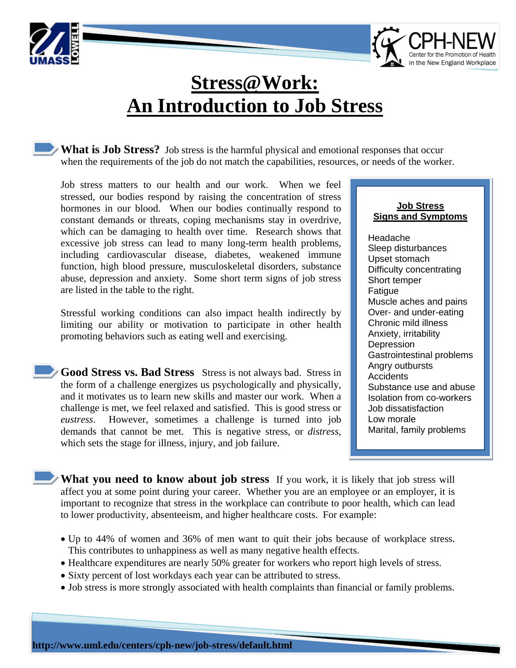



# **Stress@Work: An Introduction to Job Stress**

What is **Job Stress?** Job stress is the harmful physical and emotional responses that occur when the requirements of the job do not match the capabilities, resources, or needs of the worker.

Job stress matters to our health and our work. When we feel stressed, our bodies respond by raising the concentration of stress hormones in our blood. When our bodies continually respond to constant demands or threats, coping mechanisms stay in overdrive, which can be damaging to health over time. Research shows that excessive job stress can lead to many long-term health problems, including cardiovascular disease, diabetes, weakened immune function, high blood pressure, musculoskeletal disorders, substance abuse, depression and anxiety. Some short term signs of job stress are listed in the table to the right.

Stressful working conditions can also impact health indirectly by limiting our ability or motivation to participate in other health promoting behaviors such as eating well and exercising.

Good Stress vs. Bad Stress Stress is not always bad. Stress in the form of a challenge energizes us psychologically and physically, and it motivates us to learn new skills and master our work. When a challenge is met, we feel relaxed and satisfied. This is good stress or *eustress*. However, sometimes a challenge is turned into job demands that cannot be met. This is negative stress, or *distress*, which sets the stage for illness, injury, and job failure.

**Job Stress Signs and Symptoms**

 Headache Sleep disturbances Upset stomach Difficulty concentrating Short temper **Fatigue**  Muscle aches and pains Over- and under-eating Chronic mild illness Anxiety, irritability **Depression**  Gastrointestinal problems Angry outbursts **Accidents**  Substance use and abuse Isolation from co-workers Job dissatisfaction Low morale Marital, family problems

**What you need to know about job stress** If you work, it is likely that job stress will affect you at some point during your career. Whether you are an employee or an employer, it is important to recognize that stress in the workplace can contribute to poor health, which can lead to lower productivity, absenteeism, and higher healthcare costs. For example:

- Up to 44% of women and 36% of men want to quit their jobs because of workplace stress. This contributes to unhappiness as well as many negative health effects.
- Healthcare expenditures are nearly 50% greater for workers who report high levels of stress.
- Sixty percent of lost workdays each year can be attributed to stress.
- Job stress is more strongly associated with health complaints than financial or family problems.